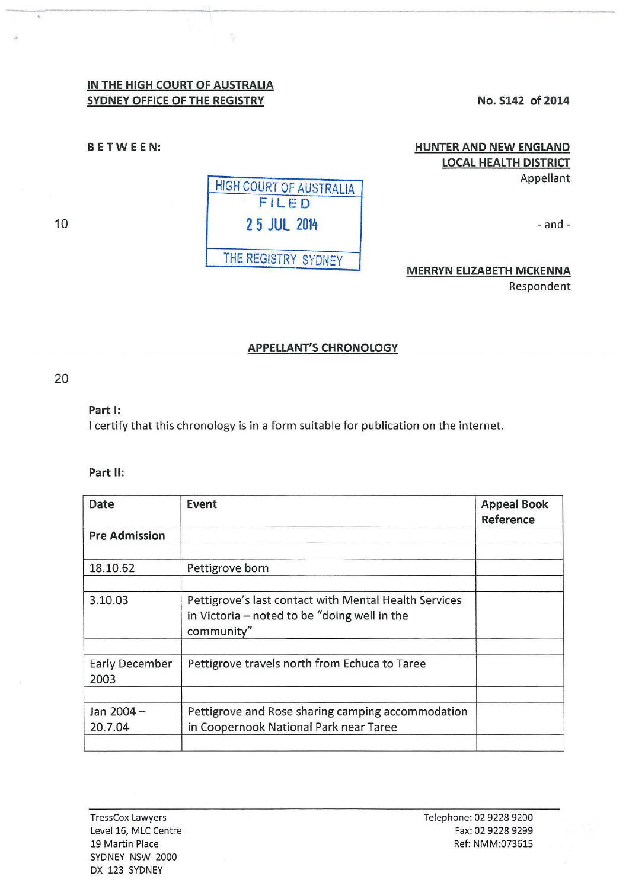# **IN THE HIGH COURT OF AUSTRALIA SYDNEY OFFICE OF THE REGISTRY No. S142 of 2014**

ţ

**BETWEEN:** 

# **HUNTER AND NEW ENGLAND LOCAL HEALTH DISTRICT**

Appellant

- and-

# **MERRYN ELIZABETH MCKENNA**

Respondent

#### **APPELLANT'S CHRONOLOGY**

### 20

#### **Part 1:**

I certify that this chronology is in a form suitable for publication on the internet.

#### **Part II:**

| Date                   | Event                                                                                                               | <b>Appeal Book</b><br>Reference |
|------------------------|---------------------------------------------------------------------------------------------------------------------|---------------------------------|
| <b>Pre Admission</b>   |                                                                                                                     |                                 |
| 18.10.62               | Pettigrove born                                                                                                     |                                 |
| 3.10.03                | Pettigrove's last contact with Mental Health Services<br>in Victoria - noted to be "doing well in the<br>community" |                                 |
| Early December<br>2003 | Pettigrove travels north from Echuca to Taree                                                                       |                                 |
| Jan 2004-<br>20.7.04   | Pettigrove and Rose sharing camping accommodation<br>in Coopernook National Park near Taree                         |                                 |
|                        |                                                                                                                     |                                 |



10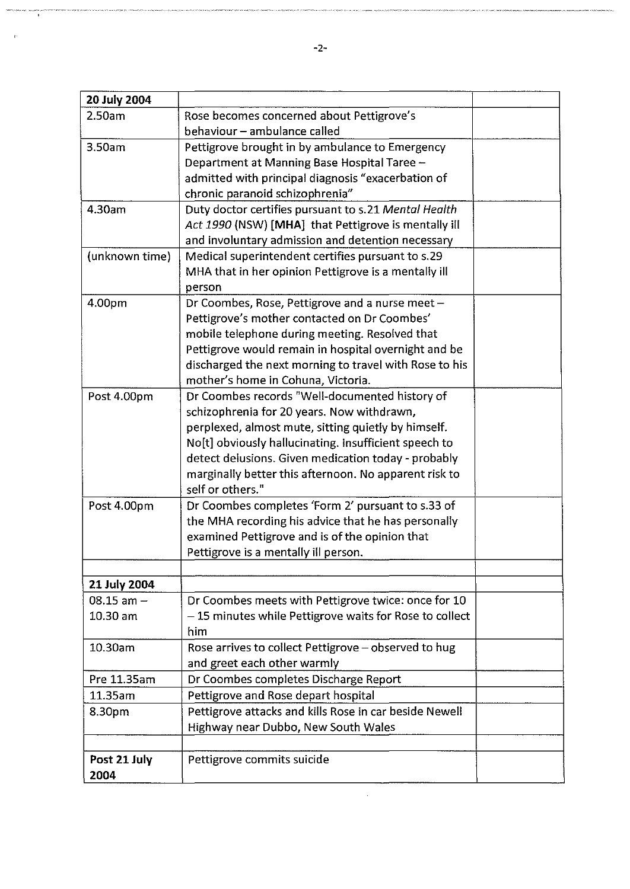| 20 July 2004   |                                                        |  |
|----------------|--------------------------------------------------------|--|
| 2.50am         | Rose becomes concerned about Pettigrove's              |  |
|                | behaviour - ambulance called                           |  |
| 3.50am         | Pettigrove brought in by ambulance to Emergency        |  |
|                | Department at Manning Base Hospital Taree -            |  |
|                | admitted with principal diagnosis "exacerbation of     |  |
|                | chronic paranoid schizophrenia"                        |  |
| 4.30am         | Duty doctor certifies pursuant to s.21 Mental Health   |  |
|                | Act 1990 (NSW) [MHA] that Pettigrove is mentally ill   |  |
|                | and involuntary admission and detention necessary      |  |
| (unknown time) | Medical superintendent certifies pursuant to s.29      |  |
|                | MHA that in her opinion Pettigrove is a mentally ill   |  |
|                | person                                                 |  |
| 4.00pm         | Dr Coombes, Rose, Pettigrove and a nurse meet -        |  |
|                | Pettigrove's mother contacted on Dr Coombes'           |  |
|                | mobile telephone during meeting. Resolved that         |  |
|                | Pettigrove would remain in hospital overnight and be   |  |
|                | discharged the next morning to travel with Rose to his |  |
|                | mother's home in Cohuna, Victoria.                     |  |
| Post 4.00pm    | Dr Coombes records "Well-documented history of         |  |
|                | schizophrenia for 20 years. Now withdrawn,             |  |
|                | perplexed, almost mute, sitting quietly by himself.    |  |
|                | No[t] obviously hallucinating. Insufficient speech to  |  |
|                | detect delusions. Given medication today - probably    |  |
|                | marginally better this afternoon. No apparent risk to  |  |
|                | self or others."                                       |  |
| Post 4.00pm    | Dr Coombes completes 'Form 2' pursuant to s.33 of      |  |
|                | the MHA recording his advice that he has personally    |  |
|                | examined Pettigrove and is of the opinion that         |  |
|                | Pettigrove is a mentally ill person.                   |  |
|                |                                                        |  |
| 21 July 2004   |                                                        |  |
| $08.15$ am $-$ | Dr Coombes meets with Pettigrove twice: once for 10    |  |
| $10.30$ am     | -15 minutes while Pettigrove waits for Rose to collect |  |
|                | him                                                    |  |
| 10.30am        | Rose arrives to collect Pettigrove - observed to hug   |  |
|                | and greet each other warmly                            |  |
| Pre 11.35am    | Dr Coombes completes Discharge Report                  |  |
| 11.35am        | Pettigrove and Rose depart hospital                    |  |
| 8.30pm         | Pettigrove attacks and kills Rose in car beside Newell |  |
|                | Highway near Dubbo, New South Wales                    |  |
|                |                                                        |  |
| Post 21 July   | Pettigrove commits suicide                             |  |
| 2004           |                                                        |  |

iannis<br>A

 $\hat{v}$